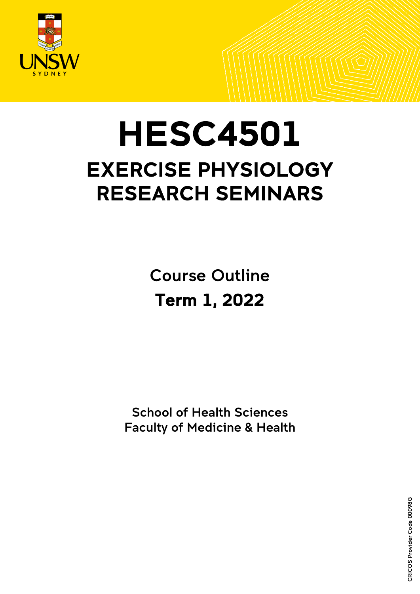

# **HESC4501** EXERCISE PHYSIOLOGY RESEARCH SEMINARS

Course Outline Term 1, 2022

 School of Health Sciences Faculty of Medicine & Health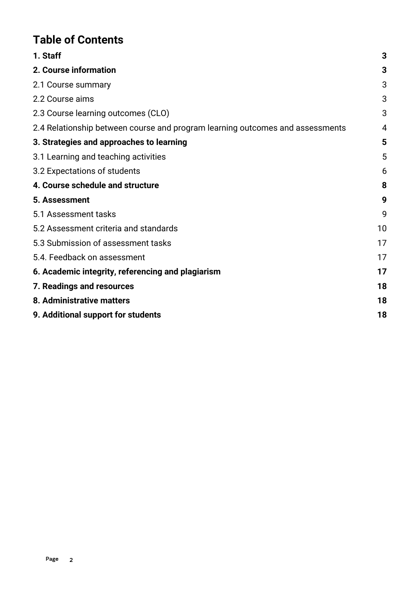# **Table of Contents**

| 1. Staff                                                                      | 3  |
|-------------------------------------------------------------------------------|----|
| 2. Course information                                                         | 3  |
| 2.1 Course summary                                                            | 3  |
| 2.2 Course aims                                                               | 3  |
| 2.3 Course learning outcomes (CLO)                                            | 3  |
| 2.4 Relationship between course and program learning outcomes and assessments | 4  |
| 3. Strategies and approaches to learning                                      | 5  |
| 3.1 Learning and teaching activities                                          | 5  |
| 3.2 Expectations of students                                                  | 6  |
| 4. Course schedule and structure                                              | 8  |
| 5. Assessment                                                                 | 9  |
| 5.1 Assessment tasks                                                          | 9  |
| 5.2 Assessment criteria and standards                                         | 10 |
| 5.3 Submission of assessment tasks                                            | 17 |
| 5.4. Feedback on assessment                                                   | 17 |
| 6. Academic integrity, referencing and plagiarism                             | 17 |
| 7. Readings and resources                                                     | 18 |
| 8. Administrative matters                                                     | 18 |
| 9. Additional support for students                                            | 18 |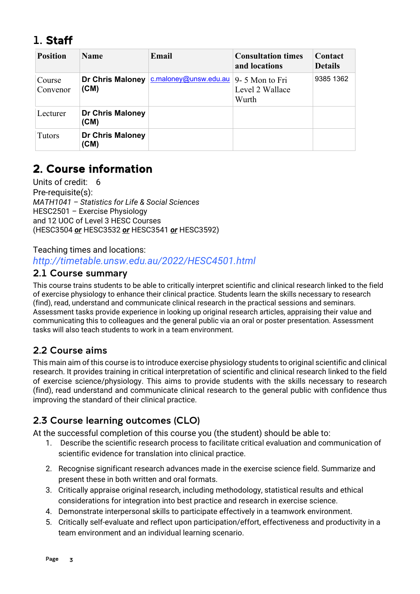# <span id="page-2-0"></span>1. Staff

| <b>Position</b>    | <b>Name</b>                     | Email                 | <b>Consultation times</b><br>and locations | Contact<br><b>Details</b> |
|--------------------|---------------------------------|-----------------------|--------------------------------------------|---------------------------|
| Course<br>Convenor | <b>Dr Chris Maloney</b><br>(CM) | c.maloney@unsw.edu.au | 9-5 Mon to Fri<br>Level 2 Wallace<br>Wurth | 9385 1362                 |
| Lecturer           | <b>Dr Chris Maloney</b><br>(CM) |                       |                                            |                           |
| Tutors             | <b>Dr Chris Maloney</b><br>(CM) |                       |                                            |                           |

# <span id="page-2-1"></span>2. Course information

Units of credit: 6 Pre-requisite(s): *MATH1041 – Statistics for Life & Social Sciences* HESC2501 *–* Exercise Physiology and 12 UOC of Level 3 HESC Courses (HESC3504 *or* HESC3532 *or* HESC3541 *or* HESC3592)

Teaching times and locations: *http://timetable.unsw.edu.au/2022/HESC4501.html*

### <span id="page-2-2"></span>2.1 Course summary

This course trains students to be able to critically interpret scientific and clinical research linked to the field of exercise physiology to enhance their clinical practice. Students learn the skills necessary to research (find), read, understand and communicate clinical research in the practical sessions and seminars. Assessment tasks provide experience in looking up original research articles, appraising their value and communicating this to colleagues and the general public via an oral or poster presentation. Assessment tasks will also teach students to work in a team environment.

# <span id="page-2-3"></span>2.2 Course aims

This main aim of this course is to introduce exercise physiology students to original scientific and clinical research. It provides training in critical interpretation of scientific and clinical research linked to the field of exercise science/physiology. This aims to provide students with the skills necessary to research (find), read understand and communicate clinical research to the general public with confidence thus improving the standard of their clinical practice.

# <span id="page-2-4"></span>2.3 Course learning outcomes (CLO)

At the successful completion of this course you (the student) should be able to:

- 1. Describe the scientific research process to facilitate critical evaluation and communication of scientific evidence for translation into clinical practice.
- 2. Recognise significant research advances made in the exercise science field. Summarize and present these in both written and oral formats.
- 3. Critically appraise original research, including methodology, statistical results and ethical considerations for integration into best practice and research in exercise science.
- 4. Demonstrate interpersonal skills to participate effectively in a teamwork environment.
- 5. Critically self-evaluate and reflect upon participation/effort, effectiveness and productivity in a team environment and an individual learning scenario.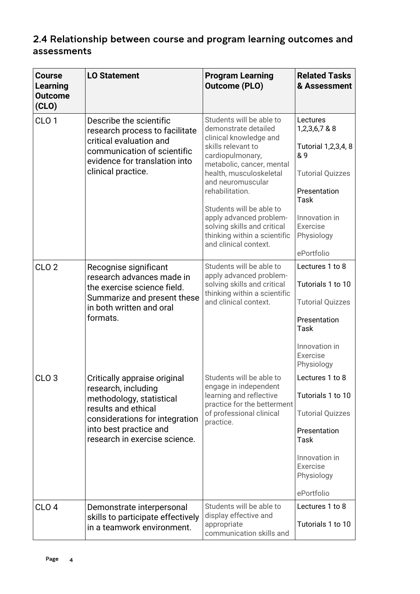# <span id="page-3-0"></span>2.4 Relationship between course and program learning outcomes and assessments

| <b>Course</b><br>Learning<br><b>Outcome</b><br>(CLO) | <b>LO Statement</b>                                                                                                                                                        | <b>Program Learning</b><br><b>Outcome (PLO)</b>                                                                                                                                                                                                                                                            | <b>Related Tasks</b><br>& Assessment                                                                                                           |
|------------------------------------------------------|----------------------------------------------------------------------------------------------------------------------------------------------------------------------------|------------------------------------------------------------------------------------------------------------------------------------------------------------------------------------------------------------------------------------------------------------------------------------------------------------|------------------------------------------------------------------------------------------------------------------------------------------------|
| CLO <sub>1</sub>                                     | Describe the scientific<br>research process to facilitate<br>critical evaluation and<br>communication of scientific<br>evidence for translation into<br>clinical practice. | Students will be able to<br>demonstrate detailed<br>clinical knowledge and<br>skills relevant to<br>cardiopulmonary,<br>metabolic, cancer, mental<br>health, musculoskeletal<br>and neuromuscular<br>rehabilitation.<br>Students will be able to<br>apply advanced problem-<br>solving skills and critical | Lectures<br>1,2,3,6,7 & 8<br>Tutorial 1,2,3,4, 8<br>& 9<br><b>Tutorial Quizzes</b><br>Presentation<br><b>Task</b><br>Innovation in<br>Exercise |
|                                                      |                                                                                                                                                                            | thinking within a scientific<br>and clinical context.                                                                                                                                                                                                                                                      | Physiology<br>ePortfolio                                                                                                                       |
| CLO <sub>2</sub>                                     | Recognise significant                                                                                                                                                      | Students will be able to                                                                                                                                                                                                                                                                                   | Lectures 1 to 8                                                                                                                                |
|                                                      | research advances made in<br>the exercise science field.                                                                                                                   | apply advanced problem-<br>solving skills and critical<br>thinking within a scientific                                                                                                                                                                                                                     | Tutorials 1 to 10                                                                                                                              |
| Summarize and present these<br>formats.              | in both written and oral                                                                                                                                                   | and clinical context.                                                                                                                                                                                                                                                                                      | <b>Tutorial Quizzes</b><br>Presentation<br><b>Task</b>                                                                                         |
|                                                      |                                                                                                                                                                            |                                                                                                                                                                                                                                                                                                            | Innovation in<br>Exercise<br>Physiology                                                                                                        |
| CLO <sub>3</sub>                                     | Critically appraise original                                                                                                                                               | Students will be able to<br>engage in independent                                                                                                                                                                                                                                                          | Lectures 1 to 8                                                                                                                                |
|                                                      | research, including<br>methodology, statistical<br>results and ethical<br>considerations for integration                                                                   | learning and reflective<br>practice for the betterment<br>of professional clinical                                                                                                                                                                                                                         | Tutorials 1 to 10                                                                                                                              |
|                                                      |                                                                                                                                                                            |                                                                                                                                                                                                                                                                                                            | <b>Tutorial Quizzes</b>                                                                                                                        |
| into best practice and                               | research in exercise science.                                                                                                                                              | practice.                                                                                                                                                                                                                                                                                                  | Presentation<br><b>Task</b>                                                                                                                    |
|                                                      |                                                                                                                                                                            |                                                                                                                                                                                                                                                                                                            | Innovation in<br>Exercise<br>Physiology                                                                                                        |
|                                                      |                                                                                                                                                                            |                                                                                                                                                                                                                                                                                                            | ePortfolio                                                                                                                                     |
| CLO <sub>4</sub>                                     | Demonstrate interpersonal<br>skills to participate effectively<br>in a teamwork environment.                                                                               | Students will be able to<br>display effective and<br>appropriate<br>communication skills and                                                                                                                                                                                                               | Lectures 1 to 8<br>Tutorials 1 to 10                                                                                                           |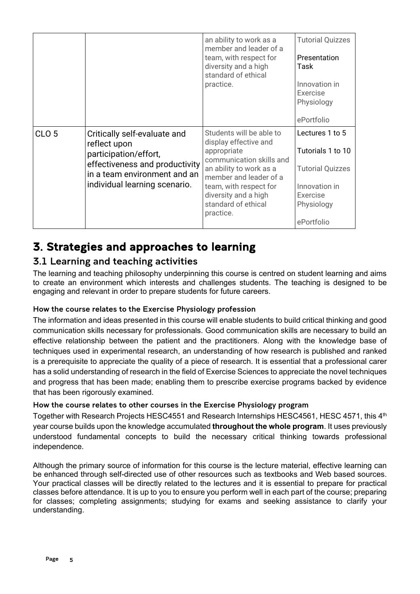|                  |                                                                                                                                                                          | an ability to work as a<br>member and leader of a<br>team, with respect for<br>diversity and a high<br>standard of ethical<br>practice.                                                                                                 | <b>Tutorial Quizzes</b><br>Presentation<br>Task<br>Innovation in<br>Exercise<br>Physiology<br>ePortfolio                 |
|------------------|--------------------------------------------------------------------------------------------------------------------------------------------------------------------------|-----------------------------------------------------------------------------------------------------------------------------------------------------------------------------------------------------------------------------------------|--------------------------------------------------------------------------------------------------------------------------|
| CLO <sub>5</sub> | Critically self-evaluate and<br>reflect upon<br>participation/effort,<br>effectiveness and productivity<br>in a team environment and an<br>individual learning scenario. | Students will be able to<br>display effective and<br>appropriate<br>communication skills and<br>an ability to work as a<br>member and leader of a<br>team, with respect for<br>diversity and a high<br>standard of ethical<br>practice. | Lectures 1 to 5<br>Tutorials 1 to 10<br><b>Tutorial Quizzes</b><br>Innovation in<br>Exercise<br>Physiology<br>ePortfolio |

# <span id="page-4-0"></span>3. Strategies and approaches to learning

## <span id="page-4-1"></span>3.1 Learning and teaching activities

The learning and teaching philosophy underpinning this course is centred on student learning and aims to create an environment which interests and challenges students. The teaching is designed to be engaging and relevant in order to prepare students for future careers.

#### How the course relates to the Exercise Physiology profession

The information and ideas presented in this course will enable students to build critical thinking and good communication skills necessary for professionals. Good communication skills are necessary to build an effective relationship between the patient and the practitioners. Along with the knowledge base of techniques used in experimental research, an understanding of how research is published and ranked is a prerequisite to appreciate the quality of a piece of research. It is essential that a professional carer has a solid understanding of research in the field of Exercise Sciences to appreciate the novel techniques and progress that has been made; enabling them to prescribe exercise programs backed by evidence that has been rigorously examined.

#### How the course relates to other courses in the Exercise Physiology program

Together with Research Projects HESC4551 and Research Internships HESC4561, HESC 4571, this 4<sup>th</sup> year course builds upon the knowledge accumulated **throughout the whole program**. It uses previously understood fundamental concepts to build the necessary critical thinking towards professional independence.

Although the primary source of information for this course is the lecture material, effective learning can be enhanced through self-directed use of other resources such as textbooks and Web based sources. Your practical classes will be directly related to the lectures and it is essential to prepare for practical classes before attendance. It is up to you to ensure you perform well in each part of the course; preparing for classes; completing assignments; studying for exams and seeking assistance to clarify your understanding.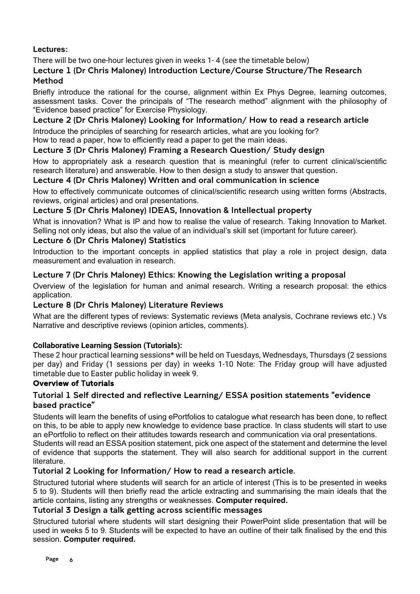#### <span id="page-5-0"></span>**Lectures:**

There will be two one-hour lectures given in weeks 1- 4 (see the timetable below)

#### Lecture 1 (Dr Chris Maloney) Introduction Lecture/Course Structure/The Research Method

Briefly introduce the rational for the course, alignment within Ex Phys Degree, learning outcomes, assessment tasks. Cover the principals of "The research method" alignment with the philosophy of "Evidence based practice" for Exercise Physiology.

#### Lecture 2 (Dr Chris Maloney) Looking for Information/ How to read a research article

Introduce the principles of searching for research articles, what are you looking for? How to read a paper, how to efficiently read a paper to get the main ideas.

#### Lecture 3 (Dr Chris Maloney) Framing a Research Question/ Study design

How to appropriately ask a research question that is meaningful (refer to current clinical/scientific research literature) and answerable. How to then design a study to answer that question.

#### Lecture 4 (Dr Chris Maloney) Written and oral communication in science

How to effectively communicate outcomes of clinical/scientific research using written forms (Abstracts, reviews, original articles) and oral presentations.

#### Lecture 5 (Dr Chris Maloney) IDEAS, Innovation & Intellectual property

What is innovation? What is IP and how to realise the value of research. Taking Innovation to Market. Selling not only ideas, but also the value of an individual's skill set (important for future career).

#### Lecture 6 (Dr Chris Maloney) Statistics

Introduction to the important concepts in applied statistics that play a role in project design, data measurement and evaluation in research.

#### Lecture 7 (Dr Chris Maloney) Ethics: Knowing the Legislation writing a proposal

Overview of the legislation for human and animal research. Writing a research proposal: the ethics application.

#### Lecture 8 (Dr Chris Maloney) Literature Reviews

What are the different types of reviews: Systematic reviews (Meta analysis, Cochrane reviews etc.) Vs Narrative and descriptive reviews (opinion articles, comments).

#### **Collaborative Learning Session (Tutorials):**

These 2 hour practical learning sessions\* will be held on Tuesdays, Wednesdays, Thursdays (2 sessions per day) and Friday (1 sessions per day) in weeks 1-10 Note: The Friday group will have adjusted timetable due to Easter public holiday in week 9.

#### Overview of Tutorials

#### Tutorial 1 Self directed and reflective Learning/ ESSA position statements "evidence based practice"

Students will learn the benefits of using ePortfolios to catalogue what research has been done, to reflect on this, to be able to apply new knowledge to evidence base practice. In class students will start to use an ePortfolio to reflect on their attitudes towards research and communication via oral presentations. Students will read an ESSA position statement, pick one aspect of the statement and determine the level

of evidence that supports the statement. They will also search for additional support in the current literature.

#### Tutorial 2 Looking for Information/ How to read a research article.

Structured tutorial where students will search for an article of interest (This is to be presented in weeks 5 to 9). Students will then briefly read the article extracting and summarising the main ideals that the article contains, listing any strengths or weaknesses. **Computer required.**

#### Tutorial 3 Design a talk getting across scientific messages

Structured tutorial where students will start designing their PowerPoint slide presentation that will be used in weeks 5 to 9. Students will be expected to have an outline of their talk finalised by the end this session. **Computer required.**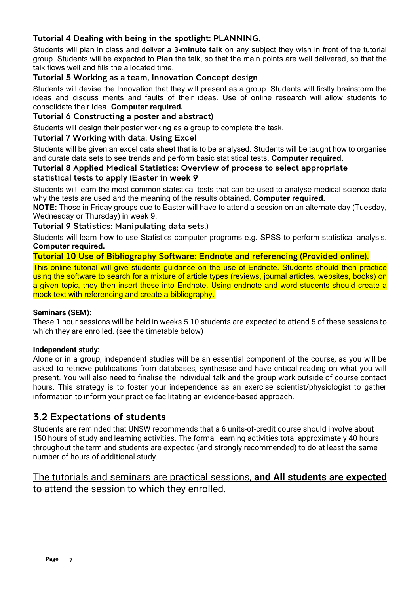#### Tutorial 4 Dealing with being in the spotlight: PLANNING.

Students will plan in class and deliver a **3-minute talk** on any subject they wish in front of the tutorial group. Students will be expected to **Plan** the talk, so that the main points are well delivered, so that the talk flows well and fills the allocated time.

#### Tutorial 5 Working as a team, Innovation Concept design

Students will devise the Innovation that they will present as a group. Students will firstly brainstorm the ideas and discuss merits and faults of their ideas. Use of online research will allow students to consolidate their Idea. **Computer required.**

#### Tutorial 6 Constructing a poster and abstract)

Students will design their poster working as a group to complete the task.

#### Tutorial 7 Working with data: Using Excel

Students will be given an excel data sheet that is to be analysed. Students will be taught how to organise and curate data sets to see trends and perform basic statistical tests. **Computer required.**

#### Tutorial 8 Applied Medical Statistics: Overview of process to select appropriate

#### statistical tests to apply (Easter in week 9

Students will learn the most common statistical tests that can be used to analyse medical science data why the tests are used and the meaning of the results obtained. **Computer required.**

**NOTE:** Those in Friday groups due to Easter will have to attend a session on an alternate day (Tuesday, Wednesday or Thursday) in week 9.

#### Tutorial 9 Statistics: Manipulating data sets.)

Students will learn how to use Statistics computer programs e.g. SPSS to perform statistical analysis. **Computer required.**

#### Tutorial 10 Use of Bibliography Software: Endnote and referencing (Provided online).

This online tutorial will give students guidance on the use of Endnote. Students should then practice using the software to search for a mixture of article types (reviews, journal articles, websites, books) on a given topic, they then insert these into Endnote. Using endnote and word students should create a mock text with referencing and create a bibliography.

#### **Seminars (SEM):**

These 1 hour sessions will be held in weeks 5-10 students are expected to attend 5 of these sessions to which they are enrolled. (see the timetable below)

#### **Independent study:**

Alone or in a group, independent studies will be an essential component of the course, as you will be asked to retrieve publications from databases, synthesise and have critical reading on what you will present. You will also need to finalise the individual talk and the group work outside of course contact hours. This strategy is to foster your independence as an exercise scientist/physiologist to gather information to inform your practice facilitating an evidence-based approach.

#### 3.2 Expectations of students

Students are reminded that UNSW recommends that a 6 units-of-credit course should involve about 150 hours of study and learning activities. The formal learning activities total approximately 40 hours throughout the term and students are expected (and strongly recommended) to do at least the same number of hours of additional study.

### The tutorials and seminars are practical sessions, **and All students are expected** to attend the session to which they enrolled.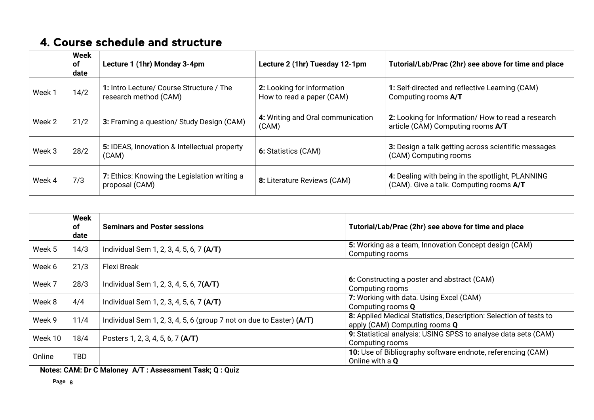# 4. Course schedule and structure

|        | Week<br>of<br>date | Lecture 1 (1hr) Monday 3-4pm                                      | Lecture 2 (1hr) Tuesday 12-1pm                          | Tutorial/Lab/Prac (2hr) see above for time and place                                        |
|--------|--------------------|-------------------------------------------------------------------|---------------------------------------------------------|---------------------------------------------------------------------------------------------|
| Week 1 | 14/2               | 1: Intro Lecture/ Course Structure / The<br>research method (CAM) | 2: Looking for information<br>How to read a paper (CAM) | 1: Self-directed and reflective Learning (CAM)<br>Computing rooms A/T                       |
| Week 2 | 21/2               | 3: Framing a question/ Study Design (CAM)                         | 4: Writing and Oral communication<br>(CAM)              | 2: Looking for Information/ How to read a research<br>article (CAM) Computing rooms A/T     |
| Week 3 | 28/2               | 5: IDEAS, Innovation & Intellectual property<br>(CAM)             | 6: Statistics (CAM)                                     | 3: Design a talk getting across scientific messages<br>(CAM) Computing rooms                |
| Week 4 | 7/3                | 7: Ethics: Knowing the Legislation writing a<br>proposal (CAM)    | 8: Literature Reviews (CAM)                             | 4: Dealing with being in the spotlight, PLANNING<br>(CAM). Give a talk. Computing rooms A/T |

<span id="page-7-0"></span>

|         | Week<br><b>of</b><br>date | <b>Seminars and Poster sessions</b>                                    | Tutorial/Lab/Prac (2hr) see above for time and place                                               |
|---------|---------------------------|------------------------------------------------------------------------|----------------------------------------------------------------------------------------------------|
| Week 5  | 14/3                      | Individual Sem 1, 2, 3, 4, 5, 6, 7 (A/T)                               | 5: Working as a team, Innovation Concept design (CAM)<br>Computing rooms                           |
| Week 6  | 21/3                      | <b>Flexi Break</b>                                                     |                                                                                                    |
| Week 7  | 28/3                      | Individual Sem 1, 2, 3, 4, 5, 6, 7(A/T)                                | 6: Constructing a poster and abstract (CAM)<br>Computing rooms                                     |
| Week 8  | 4/4                       | Individual Sem 1, 2, 3, 4, 5, 6, 7 (A/T)                               | 7: Working with data. Using Excel (CAM)<br>Computing rooms Q                                       |
| Week 9  | 11/4                      | Individual Sem 1, 2, 3, 4, 5, 6 (group 7 not on due to Easter) $(A/T)$ | 8: Applied Medical Statistics, Description: Selection of tests to<br>apply (CAM) Computing rooms Q |
| Week 10 | 18/4                      | Posters 1, 2, 3, 4, 5, 6, 7 (A/T)                                      | 9: Statistical analysis: USING SPSS to analyse data sets (CAM)<br>Computing rooms                  |
| Online  | <b>TBD</b>                |                                                                        | 10: Use of Bibliography software endnote, referencing (CAM)<br>Online with a Q                     |

**Notes: CAM: Dr C Maloney A/T : Assessment Task; Q : Quiz**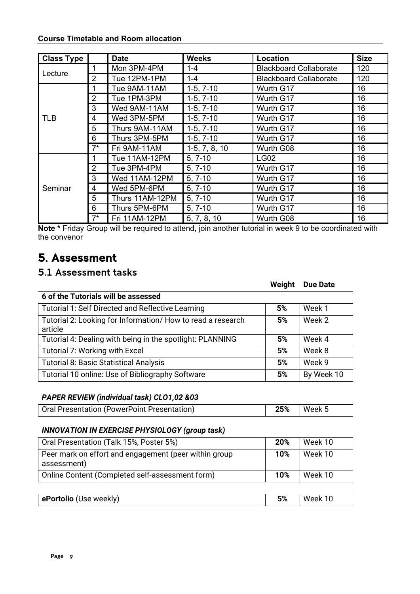<span id="page-8-0"></span>

| <b>Course Timetable and Room allocation</b> |  |  |
|---------------------------------------------|--|--|
|                                             |  |  |

| <b>Class Type</b> |                | <b>Date</b>     | <b>Weeks</b>    | <b>Location</b>               | <b>Size</b> |
|-------------------|----------------|-----------------|-----------------|-------------------------------|-------------|
|                   |                | Mon 3PM-4PM     | $1 - 4$         | <b>Blackboard Collaborate</b> | 120         |
| Lecture           | $\overline{2}$ | Tue 12PM-1PM    | $1 - 4$         | <b>Blackboard Collaborate</b> | 120         |
|                   |                | Tue 9AM-11AM    | $1-5, 7-10$     | Wurth G17                     | 16          |
|                   | $\overline{2}$ | Tue 1PM-3PM     | $1-5, 7-10$     | Wurth G17                     | 16          |
|                   | 3              | Wed 9AM-11AM    | $1-5, 7-10$     | Wurth G17                     | 16          |
| <b>TLB</b>        | 4              | Wed 3PM-5PM     | $1-5, 7-10$     | Wurth G17                     | 16          |
|                   | 5              | Thurs 9AM-11AM  | $1-5, 7-10$     | Wurth G17                     | 16          |
|                   | 6              | Thurs 3PM-5PM   | $1-5, 7-10$     | Wurth G17                     | 16          |
|                   | $7^*$          | Fri 9AM-11AM    | $1-5, 7, 8, 10$ | Wurth G08                     | 16          |
|                   |                | Tue 11AM-12PM   | $5, 7-10$       | <b>LG02</b>                   | 16          |
|                   | $\overline{2}$ | Tue 3PM-4PM     | $5, 7-10$       | Wurth G17                     | 16          |
|                   | 3              | Wed 11AM-12PM   | $5, 7-10$       | Wurth G17                     | 16          |
| Seminar           | 4              | Wed 5PM-6PM     | $5, 7-10$       | Wurth G17                     | 16          |
|                   | 5              | Thurs 11AM-12PM | $5, 7-10$       | Wurth G17                     | 16          |
|                   | 6              | Thurs 5PM-6PM   | $5, 7-10$       | Wurth G17                     | 16          |
|                   | $7^*$          | Fri 11AM-12PM   | 5, 7, 8, 10     | Wurth G08                     | 16          |

**Note \*** Friday Group will be required to attend, join another tutorial in week 9 to be coordinated with the convenor

# 5. Assessment

## <span id="page-8-1"></span>5.1 Assessment tasks

| 6 of the Tutorials will be assessed                                   |    |            |
|-----------------------------------------------------------------------|----|------------|
| Tutorial 1: Self Directed and Reflective Learning                     | 5% | Week 1     |
| Tutorial 2: Looking for Information/How to read a research<br>article | 5% | Week 2     |
| Tutorial 4: Dealing with being in the spotlight: PLANNING             | 5% | Week 4     |
| Tutorial 7: Working with Excel                                        | 5% | Week 8     |
| <b>Tutorial 8: Basic Statistical Analysis</b>                         | 5% | Week 9     |
| Tutorial 10 online: Use of Bibliography Software                      | 5% | By Week 10 |

#### *PAPER REVIEW (individual task) CLO1,02 &03*

| Oral Presentation (PowerPoint Presentation) | $25\%$   Week 5 |  |
|---------------------------------------------|-----------------|--|

#### *INNOVATION IN EXERCISE PHYSIOLOGY (group task)*

| Oral Presentation (Talk 15%, Poster 5%)                              | 20% | Week 10 |
|----------------------------------------------------------------------|-----|---------|
| Peer mark on effort and engagement (peer within group<br>assessment) | 10% | Week 10 |
| Online Content (Completed self-assessment form)                      | 10% | Week 10 |

|  | ePortolio (Use weekly)<br>5% |
|--|------------------------------|
|--|------------------------------|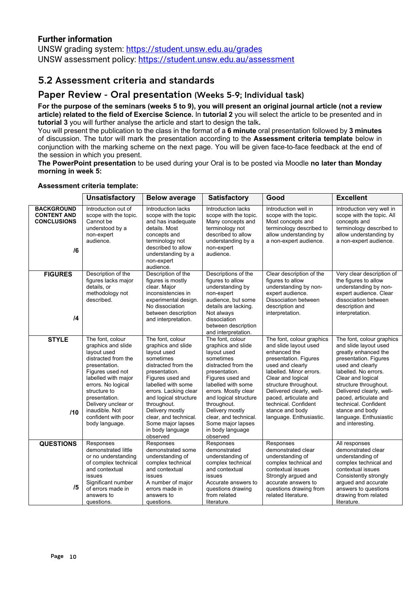#### **Further information**

UNSW grading system:<https://student.unsw.edu.au/grades> UNSW assessment policy:<https://student.unsw.edu.au/assessment>

### <span id="page-9-0"></span>5.2 Assessment criteria and standards

#### Paper Review - Oral presentation (Weeks 5-9; Individual task)

**For the purpose of the seminars (weeks 5 to 9), you will present an original journal article (not a review article) related to the field of Exercise Science.** In **tutorial 2** you will select the article to be presented and in **tutorial 3** you will further analyse the article and start to design the talk**.**

You will present the publication to the class in the format of a **6 minute** oral presentation followed by **3 minutes** of discussion. The tutor will mark the presentation according to the **Assessment criteria template** below in conjunction with the marking scheme on the next page. You will be given face-to-face feedback at the end of the session in which you present.

**The PowerPoint presentation** to be used during your Oral is to be posted via Moodle **no later than Monday morning in week 5:**

|                                                                     | <b>Unsatisfactory</b>                                                                                                                                                                                                                                                             | <b>Below average</b>                                                                                                                                                                                                                                                                                                   | <b>Satisfactory</b>                                                                                                                                                                                                                                                                                                   | Good                                                                                                                                                                                                                                                                                                                | <b>Excellent</b>                                                                                                                                                                                                                                                                                                                            |
|---------------------------------------------------------------------|-----------------------------------------------------------------------------------------------------------------------------------------------------------------------------------------------------------------------------------------------------------------------------------|------------------------------------------------------------------------------------------------------------------------------------------------------------------------------------------------------------------------------------------------------------------------------------------------------------------------|-----------------------------------------------------------------------------------------------------------------------------------------------------------------------------------------------------------------------------------------------------------------------------------------------------------------------|---------------------------------------------------------------------------------------------------------------------------------------------------------------------------------------------------------------------------------------------------------------------------------------------------------------------|---------------------------------------------------------------------------------------------------------------------------------------------------------------------------------------------------------------------------------------------------------------------------------------------------------------------------------------------|
| <b>BACKGROUND</b><br><b>CONTENT AND</b><br><b>CONCLUSIONS</b><br>/6 | Introduction out of<br>scope with the topic.<br>Cannot be<br>understood by a<br>non-expert<br>audience.                                                                                                                                                                           | Introduction lacks<br>scope with the topic<br>and has inadequate<br>details. Most<br>concepts and<br>terminology not<br>described to allow<br>understanding by a<br>non-expert<br>audience.                                                                                                                            | Introduction lacks<br>scope with the topic.<br>Many concepts and<br>terminology not<br>described to allow<br>understanding by a<br>non-expert<br>audience.                                                                                                                                                            | Introduction well in<br>scope with the topic.<br>Most concepts and<br>terminology described to<br>allow understanding by<br>a non-expert audience.                                                                                                                                                                  | Introduction very well in<br>scope with the topic. All<br>concepts and<br>terminology described to<br>allow understanding by<br>a non-expert audience.                                                                                                                                                                                      |
| <b>FIGURES</b><br>$\overline{14}$                                   | Description of the<br>figures lacks major<br>details, or<br>methodology not<br>described.                                                                                                                                                                                         | Description of the<br>figures is mostly<br>clear. Major<br>inconsistencies in<br>experimental design.<br>No dissociation<br>between description<br>and interpretation.                                                                                                                                                 | Descriptions of the<br>figures to allow<br>understanding by<br>non-expert<br>audience, but some<br>details are lacking.<br>Not always<br>dissociation<br>between description<br>and interpretation.                                                                                                                   | Clear description of the<br>figures to allow<br>understanding by non-<br>expert audience.<br>Dissociation between<br>description and<br>interpretation.                                                                                                                                                             | Very clear description of<br>the figures to allow<br>understanding by non-<br>expert audience. Clear<br>dissociation between<br>description and<br>interpretation.                                                                                                                                                                          |
| <b>STYLE</b><br>/10                                                 | The font, colour<br>graphics and slide<br>layout used<br>distracted from the<br>presentation.<br>Figures used not<br>labelled with major<br>errors. No logical<br>structure to<br>presentation.<br>Delivery unclear or<br>inaudible. Not<br>confident with poor<br>body language. | The font, colour<br>graphics and slide<br>layout used<br>sometimes<br>distracted from the<br>presentation.<br>Figures used and<br>labelled with some<br>errors. Lacking clear<br>and logical structure<br>throughout.<br>Delivery mostly<br>clear, and technical.<br>Some major lapses<br>in body language<br>observed | The font. colour<br>graphics and slide<br>layout used<br>sometimes<br>distracted from the<br>presentation.<br>Figures used and<br>labelled with some<br>errors. Mostly clear<br>and logical structure<br>throughout.<br>Delivery mostly<br>clear, and technical.<br>Some major lapses<br>in body language<br>observed | The font, colour graphics<br>and slide layout used<br>enhanced the<br>presentation. Figures<br>used and clearly<br>labelled. Minor errors.<br>Clear and logical<br>structure throughout.<br>Delivered clearly, well-<br>paced, articulate and<br>technical. Confident<br>stance and body<br>language. Enthusiastic. | The font, colour graphics<br>and slide layout used<br>greatly enhanced the<br>presentation. Figures<br>used and clearly<br>labelled. No errors.<br>Clear and logical<br>structure throughout.<br>Delivered clearly, well-<br>paced, articulate and<br>technical. Confident<br>stance and body<br>language. Enthusiastic<br>and interesting. |
| <b>QUESTIONS</b><br>/5                                              | Responses<br>demonstrated little<br>or no understanding<br>of complex technical<br>and contextual<br>issues<br>Significant number<br>of errors made in<br>answers to<br>questions.                                                                                                | Responses<br>demonstrated some<br>understanding of<br>complex technical<br>and contextual<br>issues<br>A number of major<br>errors made in<br>answers to<br>questions.                                                                                                                                                 | Responses<br>demonstrated<br>understanding of<br>complex technical<br>and contextual<br>issues<br>Accurate answers to<br>questions drawing<br>from related<br>literature.                                                                                                                                             | Responses<br>demonstrated clear<br>understanding of<br>complex technical and<br>contextual issues<br>Strongly argued and<br>accurate answers to<br>questions drawing from<br>related literature.                                                                                                                    | All responses<br>demonstrated clear<br>understanding of<br>complex technical and<br>contextual issues<br>Consistently strongly<br>argued and accurate<br>answers to questions<br>drawing from related<br>literature.                                                                                                                        |

#### **Assessment criteria template:**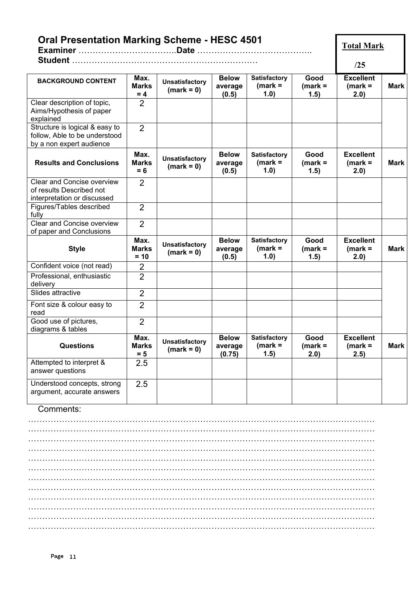| <b>Oral Presentation Marking Scheme - HESC 4501</b>                                         |                                |                                       |                                   |                                          |                           |                                       | <b>Total Mark</b> |
|---------------------------------------------------------------------------------------------|--------------------------------|---------------------------------------|-----------------------------------|------------------------------------------|---------------------------|---------------------------------------|-------------------|
|                                                                                             |                                |                                       |                                   |                                          |                           | /25                                   |                   |
| <b>BACKGROUND CONTENT</b>                                                                   | Max.<br><b>Marks</b><br>$= 4$  | <b>Unsatisfactory</b><br>$(mark = 0)$ | <b>Below</b><br>average<br>(0.5)  | <b>Satisfactory</b><br>$(mark =$<br>1.0) | Good<br>$(mark =$<br>1.5) | <b>Excellent</b><br>$(mark =$<br>2.0) | <b>Mark</b>       |
| Clear description of topic,<br>Aims/Hypothesis of paper<br>explained                        | 2                              |                                       |                                   |                                          |                           |                                       |                   |
| Structure is logical & easy to<br>follow, Able to be understood<br>by a non expert audience | $\overline{2}$                 |                                       |                                   |                                          |                           |                                       |                   |
| <b>Results and Conclusions</b>                                                              | Max.<br><b>Marks</b><br>$= 6$  | <b>Unsatisfactory</b><br>$(mark = 0)$ | <b>Below</b><br>average<br>(0.5)  | <b>Satisfactory</b><br>$(mark =$<br>1.0) | Good<br>$(mark =$<br>1.5) | <b>Excellent</b><br>$(mark =$<br>2.0) | <b>Mark</b>       |
| Clear and Concise overview<br>of results Described not<br>interpretation or discussed       | 2                              |                                       |                                   |                                          |                           |                                       |                   |
| Figures/Tables described<br>fully                                                           | $\overline{2}$                 |                                       |                                   |                                          |                           |                                       |                   |
| Clear and Concise overview<br>of paper and Conclusions                                      | $\overline{2}$                 |                                       |                                   |                                          |                           |                                       |                   |
| <b>Style</b>                                                                                | Max.<br><b>Marks</b><br>$= 10$ | <b>Unsatisfactory</b><br>$(mark = 0)$ | <b>Below</b><br>average<br>(0.5)  | <b>Satisfactory</b><br>$(mark =$<br>1.0) | Good<br>$(mark =$<br>1.5) | <b>Excellent</b><br>$(mark =$<br>2.0) | <b>Mark</b>       |
| Confident voice (not read)                                                                  | $\overline{2}$                 |                                       |                                   |                                          |                           |                                       |                   |
| Professional, enthusiastic<br>delivery                                                      | $\overline{2}$                 |                                       |                                   |                                          |                           |                                       |                   |
| Slides attractive                                                                           | $\overline{2}$                 |                                       |                                   |                                          |                           |                                       |                   |
| Font size & colour easy to<br>read                                                          | $\overline{2}$                 |                                       |                                   |                                          |                           |                                       |                   |
| Good use of pictures,<br>diagrams & tables                                                  | $\overline{2}$                 |                                       |                                   |                                          |                           |                                       |                   |
| <b>Questions</b>                                                                            | Max.<br><b>Marks</b><br>$= 5$  | <b>Unsatisfactory</b><br>$(mark = 0)$ | <b>Below</b><br>average<br>(0.75) | <b>Satisfactory</b><br>$(mark =$<br>1.5) | Good<br>$(maxk =$<br>2.0) | <b>Excellent</b><br>$(mark =$<br>2.5) | <b>Mark</b>       |
| Attempted to interpret &<br>answer questions                                                | 2.5                            |                                       |                                   |                                          |                           |                                       |                   |
| Understood concepts, strong<br>argument, accurate answers                                   | 2.5                            |                                       |                                   |                                          |                           |                                       |                   |
| Comments:                                                                                   |                                |                                       |                                   |                                          |                           |                                       |                   |
|                                                                                             |                                |                                       |                                   |                                          |                           |                                       |                   |
|                                                                                             |                                |                                       |                                   |                                          |                           |                                       |                   |
|                                                                                             |                                |                                       |                                   |                                          |                           |                                       |                   |
|                                                                                             |                                |                                       |                                   |                                          |                           |                                       |                   |
|                                                                                             |                                |                                       |                                   |                                          |                           |                                       |                   |

…………………………………………………………………………………………………………… …………………………………………………………………………………………………………… …………………………………………………………………………………………………………… …………………………………………………………………………………………………………… …………………………………………………………………………………………………………… …………………………………………………………………………………………………………… ……………………………………………………………………………………………………………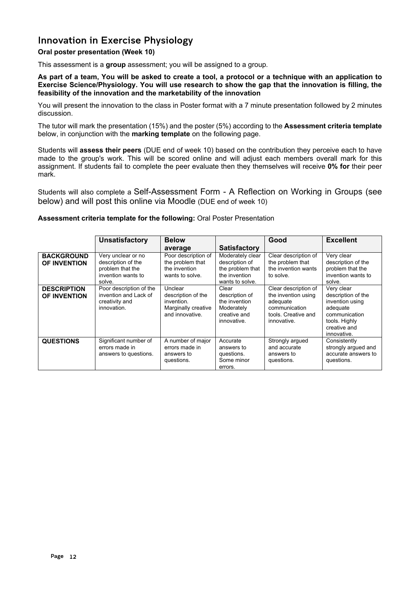### Innovation in Exercise Physiology

#### **Oral poster presentation (Week 10)**

This assessment is a **group** assessment; you will be assigned to a group*.*

**As part of a team, You will be asked to create a tool, a protocol or a technique with an application to Exercise Science/Physiology. You will use research to show the gap that the innovation is filling, the feasibility of the innovation and the marketability of the innovation**

You will present the innovation to the class in Poster format with a 7 minute presentation followed by 2 minutes discussion.

The tutor will mark the presentation (15%) and the poster (5%) according to the **Assessment criteria template**  below, in conjunction with the **marking template** on the following page.

Students will **assess their peers** (DUE end of week 10) based on the contribution they perceive each to have made to the group's work. This will be scored online and will adjust each members overall mark for this assignment. If students fail to complete the peer evaluate then they themselves will receive **0% for** their peer mark.

Students will also complete a Self-Assessment Form - A Reflection on Working in Groups (see below) and will post this online via Moodle (DUE end of week 10)

#### **Assessment criteria template for the following:** Oral Poster Presentation

|                                          | Unsatisfactory                                                                               | <b>Below</b>                                                                          |                                                                                            | Good                                                                                                           | <b>Excellent</b>                                                                                                                 |
|------------------------------------------|----------------------------------------------------------------------------------------------|---------------------------------------------------------------------------------------|--------------------------------------------------------------------------------------------|----------------------------------------------------------------------------------------------------------------|----------------------------------------------------------------------------------------------------------------------------------|
|                                          |                                                                                              | average                                                                               | <b>Satisfactory</b>                                                                        |                                                                                                                |                                                                                                                                  |
| <b>BACKGROUND</b><br><b>OF INVENTION</b> | Very unclear or no<br>description of the<br>problem that the<br>invention wants to<br>solve. | Poor description of<br>the problem that<br>the invention<br>wants to solve.           | Moderately clear<br>description of<br>the problem that<br>the invention<br>wants to solve. | Clear description of<br>the problem that<br>the invention wants<br>to solve.                                   | Very clear<br>description of the<br>problem that the<br>invention wants to<br>solve.                                             |
| <b>DESCRIPTION</b><br>OF INVENTION       | Poor description of the<br>invention and Lack of<br>creativity and<br>innovation.            | Unclear<br>description of the<br>invention.<br>Marginally creative<br>and innovative. | Clear<br>description of<br>the invention<br>Moderately<br>creative and<br>innovative.      | Clear description of<br>the invention using<br>adequate<br>communication<br>tools. Creative and<br>innovative. | Very clear<br>description of the<br>invention using<br>adequate<br>communication<br>tools. Highly<br>creative and<br>innovative. |
| <b>QUESTIONS</b>                         | Significant number of<br>errors made in<br>answers to questions.                             | A number of major<br>errors made in<br>answers to<br>questions.                       | Accurate<br>answers to<br>questions.<br>Some minor<br>errors.                              | Strongly argued<br>and accurate<br>answers to<br>questions.                                                    | Consistently<br>strongly argued and<br>accurate answers to<br>questions.                                                         |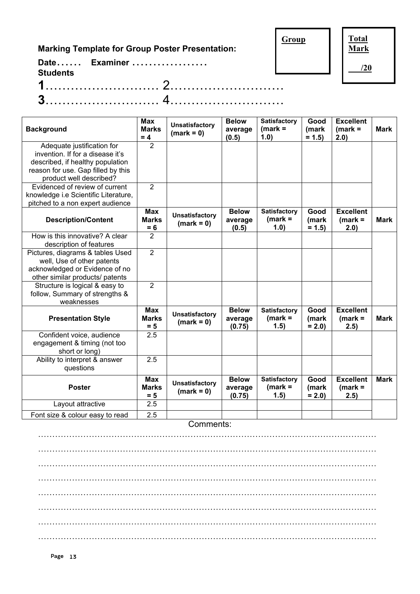**Marking Template for Group Poster Presentation:**

**Group**

**Total Mark**

**/20**

| <b>Students</b> | Date Examiner |  |
|-----------------|---------------|--|
|                 |               |  |
|                 |               |  |

| <b>Background</b>                    | <b>Max</b><br><b>Marks</b><br>$= 4$ | <b>Unsatisfactory</b><br>$(mark = 0)$ | <b>Below</b><br>average<br>(0.5)  | <b>Satisfactory</b><br>$(mark =$<br>1.0)  | Good<br>(mark<br>$= 1.5$ | <b>Excellent</b><br>$(mark =$<br>2.0) | <b>Mark</b> |
|--------------------------------------|-------------------------------------|---------------------------------------|-----------------------------------|-------------------------------------------|--------------------------|---------------------------------------|-------------|
| Adequate justification for           | $\overline{2}$                      |                                       |                                   |                                           |                          |                                       |             |
| invention. If for a disease it's     |                                     |                                       |                                   |                                           |                          |                                       |             |
| described, if healthy population     |                                     |                                       |                                   |                                           |                          |                                       |             |
| reason for use. Gap filled by this   |                                     |                                       |                                   |                                           |                          |                                       |             |
| product well described?              |                                     |                                       |                                   |                                           |                          |                                       |             |
| Evidenced of review of current       | 2                                   |                                       |                                   |                                           |                          |                                       |             |
| knowledge i.e Scientific Literature, |                                     |                                       |                                   |                                           |                          |                                       |             |
| pitched to a non expert audience     |                                     |                                       |                                   |                                           |                          |                                       |             |
| <b>Description/Content</b>           | <b>Max</b><br><b>Marks</b><br>$= 6$ | <b>Unsatisfactory</b><br>$(mark = 0)$ | <b>Below</b><br>average<br>(0.5)  | <b>Satisfactory</b><br>$(mark =$<br>(1.0) | Good<br>(mark<br>$= 1.5$ | <b>Excellent</b><br>$(mark =$<br>2.0) | <b>Mark</b> |
| How is this innovative? A clear      | $\overline{2}$                      |                                       |                                   |                                           |                          |                                       |             |
| description of features              |                                     |                                       |                                   |                                           |                          |                                       |             |
| Pictures, diagrams & tables Used     | $\overline{2}$                      |                                       |                                   |                                           |                          |                                       |             |
| well, Use of other patents           |                                     |                                       |                                   |                                           |                          |                                       |             |
| acknowledged or Evidence of no       |                                     |                                       |                                   |                                           |                          |                                       |             |
| other similar products/ patents      |                                     |                                       |                                   |                                           |                          |                                       |             |
| Structure is logical & easy to       | $\overline{2}$                      |                                       |                                   |                                           |                          |                                       |             |
| follow, Summary of strengths &       |                                     |                                       |                                   |                                           |                          |                                       |             |
| weaknesses                           |                                     |                                       |                                   |                                           |                          |                                       |             |
| <b>Presentation Style</b>            | <b>Max</b><br><b>Marks</b><br>$= 5$ | <b>Unsatisfactory</b><br>$(mark = 0)$ | <b>Below</b><br>average<br>(0.75) | <b>Satisfactory</b><br>$(maxk =$<br>1.5)  | Good<br>(mark<br>$= 2.0$ | <b>Excellent</b><br>$(mark =$<br>2.5) | <b>Mark</b> |
| Confident voice, audience            | 2.5                                 |                                       |                                   |                                           |                          |                                       |             |
| engagement & timing (not too         |                                     |                                       |                                   |                                           |                          |                                       |             |
| short or long)                       |                                     |                                       |                                   |                                           |                          |                                       |             |
| Ability to interpret & answer        | 2.5                                 |                                       |                                   |                                           |                          |                                       |             |
| questions                            |                                     |                                       |                                   |                                           |                          |                                       |             |
| <b>Poster</b>                        | <b>Max</b><br><b>Marks</b><br>$= 5$ | <b>Unsatisfactory</b><br>$(mark = 0)$ | <b>Below</b><br>average<br>(0.75) | <b>Satisfactory</b><br>$(maxk =$<br>1.5)  | Good<br>(mark<br>$= 2.0$ | <b>Excellent</b><br>$(mark =$<br>2.5) | <b>Mark</b> |
| Layout attractive                    | 2.5                                 |                                       |                                   |                                           |                          |                                       |             |
| Font size & colour easy to read      | 2.5                                 |                                       |                                   |                                           |                          |                                       |             |

Comments:

………………………………………………………………………………………………………… ………………………………………………………………………………………………………… ………………………………………………………………………………………………………… ………………………………………………………………………………………………………… ………………………………………………………………………………………………………… ………………………………………………………………………………………………………… ………………………………………………………………………………………………………… …………………………………………………………………………………………………………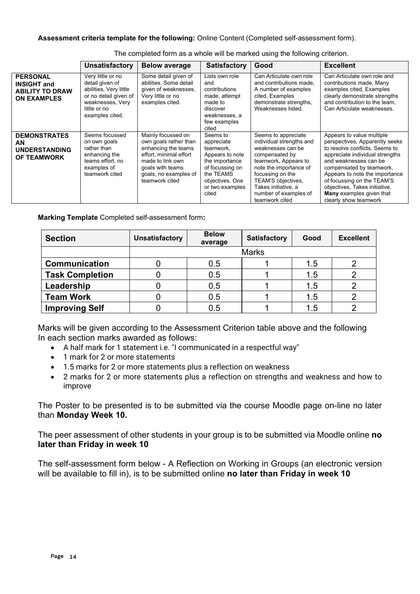#### **Assessment criteria template for the following:** Online Content (Completed self-assessment form).

|                                                                                       | <b>Unsatisfactory</b>                                                                                                                          | <b>Below average</b>                                                                                                                                                            | <b>Satisfactory</b>                                                                                                                                     | Good                                                                                                                                                                                                                                                 | <b>Excellent</b>                                                                                                                                                                                                                                                                                                                                   |
|---------------------------------------------------------------------------------------|------------------------------------------------------------------------------------------------------------------------------------------------|---------------------------------------------------------------------------------------------------------------------------------------------------------------------------------|---------------------------------------------------------------------------------------------------------------------------------------------------------|------------------------------------------------------------------------------------------------------------------------------------------------------------------------------------------------------------------------------------------------------|----------------------------------------------------------------------------------------------------------------------------------------------------------------------------------------------------------------------------------------------------------------------------------------------------------------------------------------------------|
| <b>PERSONAL</b><br><b>INSIGHT and</b><br><b>ABILITY TO DRAW</b><br><b>ON EXAMPLES</b> | Very little or no<br>detail given of<br>abilities, Very little<br>or no detail given of<br>weaknesses, Very<br>little or no<br>examples cited. | Some detail given of<br>abilities, Some detail<br>given of weaknesses,<br>Very little or no<br>examples cited.                                                                  | Lists own role<br>and<br>contributions<br>made, attempt<br>made to<br>discover<br>weaknesses, a<br>few examples<br>cited                                | Can Articulate own role<br>and contributions made,<br>A number of examples<br>cited, Examples<br>demonstrate strengths,<br>Weaknesses listed.                                                                                                        | Can Articulate own role and<br>contributions made, Many<br>examples cited, Examples<br>clearly demonstrate strengths<br>and contribution to the team.<br>Can Articulate weaknesses.                                                                                                                                                                |
| <b>DEMONSTRATES</b><br><b>AN</b><br><b>UNDERSTANDING</b><br><b>OF TEAMWORK</b>        | Seems focussed<br>on own goals<br>rather than<br>enhancing the<br>teams effort, no<br>examples of<br>teamwork cited                            | Mainly focussed on<br>own goals rather than<br>enhancing the teams<br>effort, minimal effort<br>made to link own<br>goals with teams<br>goals, no examples of<br>teamwork cited | Seems to<br>appreciate<br>teamwork.<br>Appears to note<br>the importance<br>of focussing on<br>the TEAMS<br>objectives. One<br>or two examples<br>cited | Seems to appreciate<br>individual strengths and<br>weaknesses can be<br>compensated by<br>teamwork, Appears to<br>note the importance of<br>focussing on the<br>TEAM'S objectives,<br>Takes initiative, a<br>number of examples of<br>teamwork cited | Appears to value multiple<br>perspectives, Apparently seeks<br>to resolve conflicts, Seems to<br>appreciate individual strengths<br>and weaknesses can be<br>compensated by teamwork,<br>Appears to note the importance<br>of focussing on the TEAM'S<br>objectives, Takes initiative.<br><b>Many</b> examples given that<br>clearly show teamwork |

The completed form as a whole will be marked using the following criterion.

**Marking Template** Completed self-assessment form**:**

| <b>Section</b>         | <b>Unsatisfactory</b> | <b>Below</b><br>average | <b>Satisfactory</b> | Good | <b>Excellent</b> |  |
|------------------------|-----------------------|-------------------------|---------------------|------|------------------|--|
|                        |                       | <b>Marks</b>            |                     |      |                  |  |
| <b>Communication</b>   |                       | 0.5                     |                     | 1.5  |                  |  |
| <b>Task Completion</b> |                       | 0.5                     |                     | 1.5  |                  |  |
| Leadership             |                       | 0.5                     |                     | 1.5  |                  |  |
| <b>Team Work</b>       |                       | 0.5                     |                     | 1.5  |                  |  |
| <b>Improving Self</b>  |                       | 0.5                     |                     | 1.5  |                  |  |

Marks will be given according to the Assessment Criterion table above and the following In each section marks awarded as follows:

- A half mark for 1 statement i.e. "I communicated in a respectful way"
- 1 mark for 2 or more statements
- 1.5 marks for 2 or more statements plus a reflection on weakness
- 2 marks for 2 or more statements plus a reflection on strengths and weakness and how to improve

The Poster to be presented is to be submitted via the course Moodle page on-line no later than **Monday Week 10.**

The peer assessment of other students in your group is to be submitted via Moodle online **no later than Friday in week 10**

The self-assessment form below - A Reflection on Working in Groups (an electronic version will be available to fill in), is to be submitted online **no later than Friday in week 10**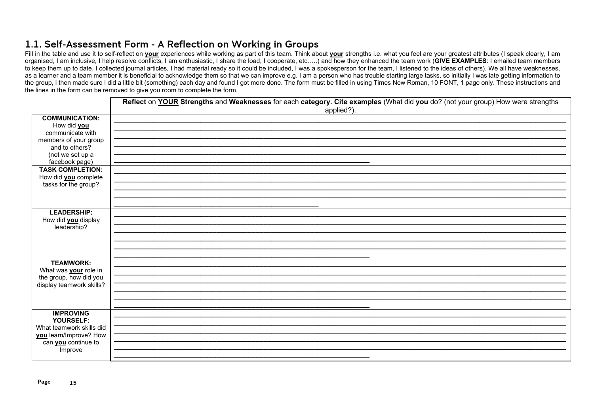### 1.1. Self-Assessment Form - A Reflection on Working in Groups

Fill in the table and use it to self-reflect on your experiences while working as part of this team. Think about your strengths i.e. what you feel are your greatest attributes (I speak clearly, I am organised, I am inclusive, I help resolve conflicts, I am enthusiastic, I share the load, I cooperate, etc.....) and how they enhanced the team work (GIVE EXAMPLES: I emailed team members to keep them up to date, I collected journal articles, I had material ready so it could be included, I was a spokesperson for the team, I listened to the ideas of others). We all have weaknesses, as a learner and a team member it is beneficial to acknowledge them so that we can improve e.g. I am a person who has trouble starting large tasks, so initially I was late getting information to the group, I then made sure I did a little bit (something) each day and found I got more done. The form must be filled in using Times New Roman, 10 FONT, 1 page only. These instructions and the lines in the form can be removed to give you room to complete the form.

|                                                        | Reflect on YOUR Strengths and Weaknesses for each category. Cite examples (What did you do? (not your group) How were strengths<br>applied?). |
|--------------------------------------------------------|-----------------------------------------------------------------------------------------------------------------------------------------------|
| <b>COMMUNICATION:</b><br>How did you                   |                                                                                                                                               |
| communicate with                                       |                                                                                                                                               |
| members of your group                                  |                                                                                                                                               |
| and to others?                                         |                                                                                                                                               |
| (not we set up a<br>facebook page)                     |                                                                                                                                               |
| <b>TASK COMPLETION:</b>                                |                                                                                                                                               |
| How did <b>you</b> complete                            |                                                                                                                                               |
| tasks for the group?                                   |                                                                                                                                               |
|                                                        |                                                                                                                                               |
|                                                        |                                                                                                                                               |
| <b>LEADERSHIP:</b><br>How did <b>you</b> display       |                                                                                                                                               |
| leadership?                                            |                                                                                                                                               |
|                                                        |                                                                                                                                               |
|                                                        |                                                                                                                                               |
|                                                        |                                                                                                                                               |
| <b>TEAMWORK:</b>                                       |                                                                                                                                               |
| What was <b>your</b> role in<br>the group, how did you |                                                                                                                                               |
| display teamwork skills?                               |                                                                                                                                               |
|                                                        |                                                                                                                                               |
|                                                        |                                                                                                                                               |
| <b>IMPROVING</b>                                       |                                                                                                                                               |
| YOURSELF:                                              |                                                                                                                                               |
| What teamwork skills did                               |                                                                                                                                               |
| you learn/Improve? How<br>can <b>you</b> continue to   |                                                                                                                                               |
| Improve                                                |                                                                                                                                               |
|                                                        |                                                                                                                                               |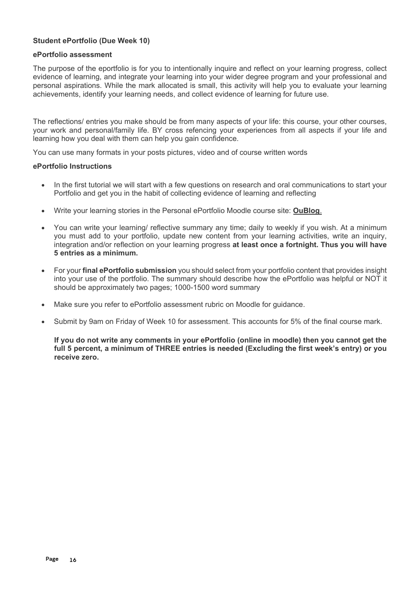#### **Student ePortfolio (Due Week 10)**

#### **ePortfolio assessment**

The purpose of the eportfolio is for you to intentionally inquire and reflect on your learning progress, collect evidence of learning, and integrate your learning into your wider degree program and your professional and personal aspirations. While the mark allocated is small, this activity will help you to evaluate your learning achievements, identify your learning needs, and collect evidence of learning for future use.

The reflections/ entries you make should be from many aspects of your life: this course, your other courses, your work and personal/family life. BY cross refencing your experiences from all aspects if your life and learning how you deal with them can help you gain confidence.

You can use many formats in your posts pictures, video and of course written words

#### **ePortfolio Instructions**

- In the first tutorial we will start with a few questions on research and oral communications to start your Portfolio and get you in the habit of collecting evidence of learning and reflecting
- Write your learning stories in the Personal ePortfolio Moodle course site: **OuBlog**.
- You can write your learning/ reflective summary any time; daily to weekly if you wish. At a minimum you must add to your portfolio, update new content from your learning activities, write an inquiry, integration and/or reflection on your learning progress **at least once a fortnight. Thus you will have 5 entries as a minimum.**
- For your **final ePortfolio submission** you should select from your portfolio content that provides insight into your use of the portfolio. The summary should describe how the ePortfolio was helpful or NOT it should be approximately two pages; 1000-1500 word summary
- Make sure you refer to ePortfolio assessment rubric on Moodle for guidance.
- Submit by 9am on Friday of Week 10 for assessment. This accounts for 5% of the final course mark.

**If you do not write any comments in your ePortfolio (online in moodle) then you cannot get the full 5 percent, a minimum of THREE entries is needed (Excluding the first week's entry) or you receive zero.**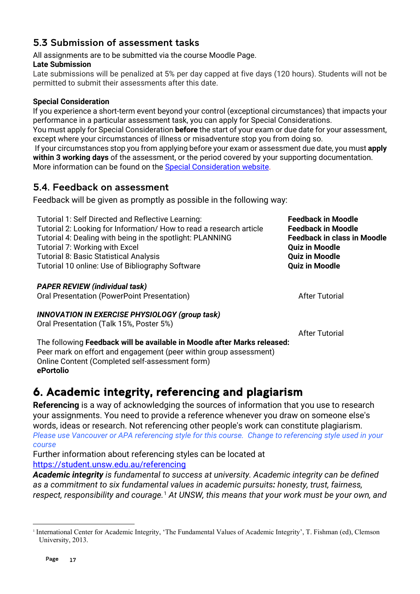### <span id="page-16-0"></span>5.3 Submission of assessment tasks

All assignments are to be submitted via the course Moodle Page.

#### **Late Submission**

Late submissions will be penalized at 5% per day capped at five days (120 hours). Students will not be permitted to submit their assessments after this date.

#### **Special Consideration**

If you experience a short-term event beyond your control (exceptional circumstances) that impacts your performance in a particular assessment task, you can apply for Special Considerations.

You must apply for Special Consideration **before** the start of your exam or due date for your assessment, except where your circumstances of illness or misadventure stop you from doing so.

If your circumstances stop you from applying before your exam or assessment due date, you must **apply within 3 working days** of the assessment, or the period covered by your supporting documentation. More information can be found on the [Special Consideration website.](https://www.student.unsw.edu.au/special-consideration)

### <span id="page-16-1"></span>5.4. Feedback on assessment

Feedback will be given as promptly as possible in the following way:

| Tutorial 1: Self Directed and Reflective Learning:<br>Tutorial 2: Looking for Information/ How to read a research article<br>Tutorial 4: Dealing with being in the spotlight: PLANNING<br>Tutorial 7: Working with Excel<br><b>Tutorial 8: Basic Statistical Analysis</b><br>Tutorial 10 online: Use of Bibliography Software | <b>Feedback in Moodle</b><br><b>Feedback in Moodle</b><br><b>Feedback in class in Moodle</b><br><b>Quiz in Moodle</b><br><b>Quiz in Moodle</b><br><b>Quiz in Moodle</b> |
|-------------------------------------------------------------------------------------------------------------------------------------------------------------------------------------------------------------------------------------------------------------------------------------------------------------------------------|-------------------------------------------------------------------------------------------------------------------------------------------------------------------------|
| <b>PAPER REVIEW (individual task)</b><br>Oral Presentation (PowerPoint Presentation)                                                                                                                                                                                                                                          | <b>After Tutorial</b>                                                                                                                                                   |
| <b>INNOVATION IN EXERCISE PHYSIOLOGY (group task)</b><br>Oral Presentation (Talk 15%, Poster 5%)                                                                                                                                                                                                                              | <b>After Tutorial</b>                                                                                                                                                   |
| The following Feedback will be available in Moodle after Marks released:                                                                                                                                                                                                                                                      |                                                                                                                                                                         |

Peer mark on effort and engagement (peer within group assessment) Online Content (Completed self-assessment form) **ePortolio**

# <span id="page-16-2"></span>6. Academic integrity, referencing and plagiarism

**Referencing** is a way of acknowledging the sources of information that you use to research your assignments. You need to provide a reference whenever you draw on someone else's words, ideas or research. Not referencing other people's work can constitute plagiarism. *Please use Vancouver or APA referencing style for this course.**Change to referencing style used in your course*

Further information about referencing styles can be located at <https://student.unsw.edu.au/referencing>

*Academic integrity is fundamental to success at university. Academic integrity can be defined as a commitment to six fundamental values in academic pursuits: honesty, trust, fairness, respect, responsibility and courage.*[1](#page-16-3) *At UNSW, this means that your work must be your own, and* 

<span id="page-16-3"></span><sup>1</sup> International Center for Academic Integrity, 'The Fundamental Values of Academic Integrity', T. Fishman (ed), Clemson University, 2013.